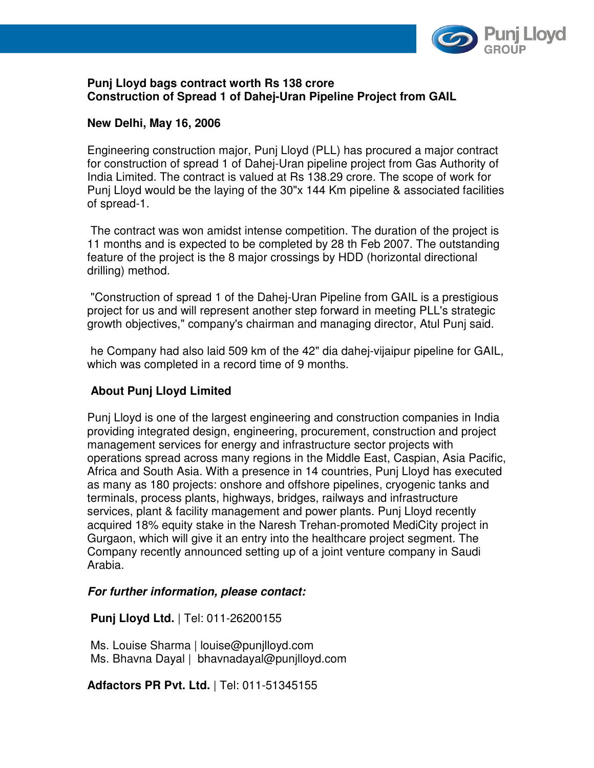

### **Punj Lloyd bags contract worth Rs 138 crore Construction of Spread 1 of Dahej-Uran Pipeline Project from GAIL**

## **New Delhi, May 16, 2006**

Engineering construction major, Punj Lloyd (PLL) has procured a major contract for construction of spread 1 of Dahej-Uran pipeline project from Gas Authority of India Limited. The contract is valued at Rs 138.29 crore. The scope of work for Punj Lloyd would be the laying of the 30"x 144 Km pipeline & associated facilities of spread-1.

 The contract was won amidst intense competition. The duration of the project is 11 months and is expected to be completed by 28 th Feb 2007. The outstanding feature of the project is the 8 major crossings by HDD (horizontal directional drilling) method.

 "Construction of spread 1 of the Dahej-Uran Pipeline from GAIL is a prestigious project for us and will represent another step forward in meeting PLL's strategic growth objectives," company's chairman and managing director, Atul Punj said.

 he Company had also laid 509 km of the 42" dia dahej-vijaipur pipeline for GAIL, which was completed in a record time of 9 months.

# **About Punj Lloyd Limited**

Punj Lloyd is one of the largest engineering and construction companies in India providing integrated design, engineering, procurement, construction and project management services for energy and infrastructure sector projects with operations spread across many regions in the Middle East, Caspian, Asia Pacific, Africa and South Asia. With a presence in 14 countries, Punj Lloyd has executed as many as 180 projects: onshore and offshore pipelines, cryogenic tanks and terminals, process plants, highways, bridges, railways and infrastructure services, plant & facility management and power plants. Punj Lloyd recently acquired 18% equity stake in the Naresh Trehan-promoted MediCity project in Gurgaon, which will give it an entry into the healthcare project segment. The Company recently announced setting up of a joint venture company in Saudi Arabia.

### **For further information, please contact:**

### **Punj Lloyd Ltd.** | Tel: 011-26200155

 Ms. Louise Sharma | louise@punjlloyd.com Ms. Bhavna Dayal | bhavnadayal@punjlloyd.com

**Adfactors PR Pvt. Ltd.** | Tel: 011-51345155